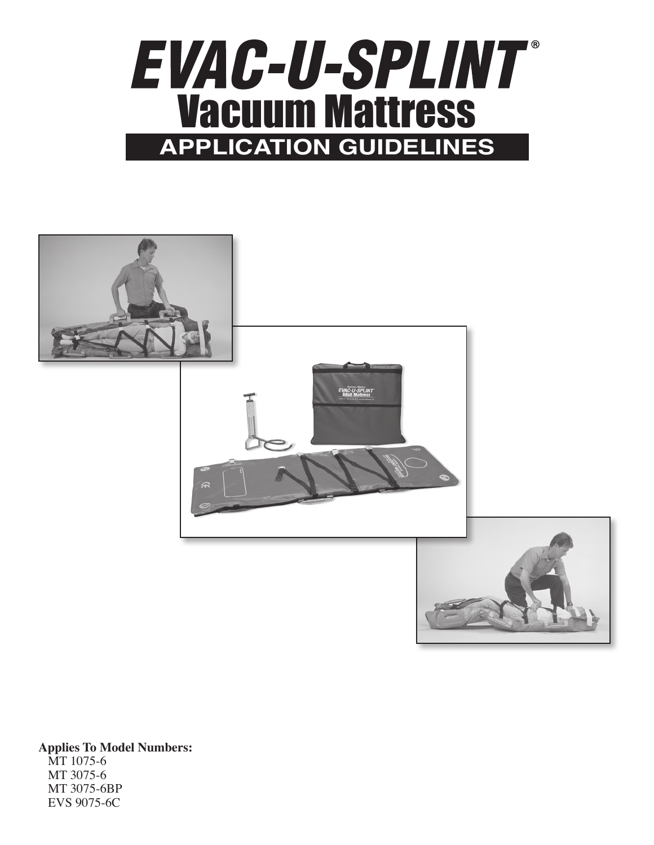



**Applies To Model Numbers:** MT 1075-6 MT 3075-6 MT 3075-6BP EVS 9075-6C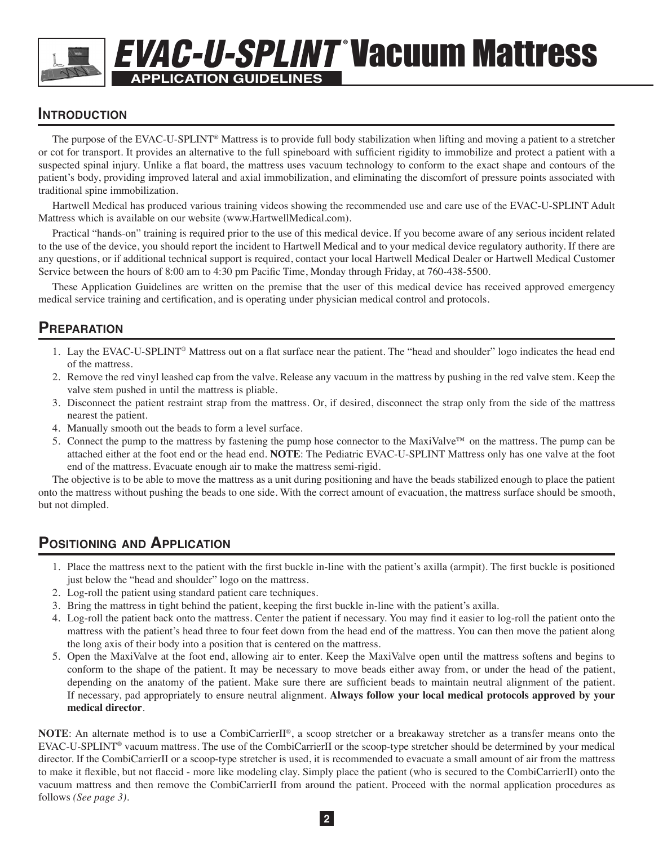# **APPLICATION GUIDELINES EVAC-U-SPLINT Vacuum Mattress**

## **Introduction**

The purpose of the EVAC-U-SPLINT® Mattress is to provide full body stabilization when lifting and moving a patient to a stretcher or cot for transport. It provides an alternative to the full spineboard with sufficient rigidity to immobilize and protect a patient with a suspected spinal injury. Unlike a flat board, the mattress uses vacuum technology to conform to the exact shape and contours of the patient's body, providing improved lateral and axial immobilization, and eliminating the discomfort of pressure points associated with traditional spine immobilization.

Hartwell Medical has produced various training videos showing the recommended use and care use of the EVAC-U-SPLINT Adult Mattress which is available on our website (www.HartwellMedical.com).

Practical "hands-on" training is required prior to the use of this medical device. If you become aware of any serious incident related to the use of the device, you should report the incident to Hartwell Medical and to your medical device regulatory authority. If there are any questions, or if additional technical support is required, contact your local Hartwell Medical Dealer or Hartwell Medical Customer Service between the hours of 8:00 am to 4:30 pm Pacific Time, Monday through Friday, at 760-438-5500.

These Application Guidelines are written on the premise that the user of this medical device has received approved emergency medical service training and certification, and is operating under physician medical control and protocols.

## **Preparation**

- 1. Lay the EVAC-U-SPLINT® Mattress out on a flat surface near the patient. The "head and shoulder" logo indicates the head end of the mattress.
- 2. Remove the red vinyl leashed cap from the valve. Release any vacuum in the mattress by pushing in the red valve stem. Keep the valve stem pushed in until the mattress is pliable.
- 3. Disconnect the patient restraint strap from the mattress. Or, if desired, disconnect the strap only from the side of the mattress nearest the patient.
- 4. Manually smooth out the beads to form a level surface.
- 5. Connect the pump to the mattress by fastening the pump hose connector to the MaxiValve<sup>™</sup> on the mattress. The pump can be attached either at the foot end or the head end. **NOTE**: The Pediatric EVAC-U-SPLINT Mattress only has one valve at the foot end of the mattress. Evacuate enough air to make the mattress semi-rigid.

The objective is to be able to move the mattress as a unit during positioning and have the beads stabilized enough to place the patient onto the mattress without pushing the beads to one side. With the correct amount of evacuation, the mattress surface should be smooth, but not dimpled.

## **Positioning and Application**

- 1. Place the mattress next to the patient with the first buckle in-line with the patient's axilla (armpit). The first buckle is positioned just below the "head and shoulder" logo on the mattress.
- 2. Log-roll the patient using standard patient care techniques.
- 3. Bring the mattress in tight behind the patient, keeping the first buckle in-line with the patient's axilla.
- 4. Log-roll the patient back onto the mattress. Center the patient if necessary. You may find it easier to log-roll the patient onto the mattress with the patient's head three to four feet down from the head end of the mattress. You can then move the patient along the long axis of their body into a position that is centered on the mattress.
- 5. Open the MaxiValve at the foot end, allowing air to enter. Keep the MaxiValve open until the mattress softens and begins to conform to the shape of the patient. It may be necessary to move beads either away from, or under the head of the patient, depending on the anatomy of the patient. Make sure there are sufficient beads to maintain neutral alignment of the patient. If necessary, pad appropriately to ensure neutral alignment. **Always follow your local medical protocols approved by your medical director**.

**NOTE**: An alternate method is to use a CombiCarrierII®, a scoop stretcher or a breakaway stretcher as a transfer means onto the EVAC-U-SPLINT® vacuum mattress. The use of the CombiCarrierII or the scoop-type stretcher should be determined by your medical director. If the CombiCarrierII or a scoop-type stretcher is used, it is recommended to evacuate a small amount of air from the mattress to make it flexible, but not flaccid - more like modeling clay. Simply place the patient (who is secured to the CombiCarrierII) onto the vacuum mattress and then remove the CombiCarrierII from around the patient. Proceed with the normal application procedures as follows *(See page 3).*

**2**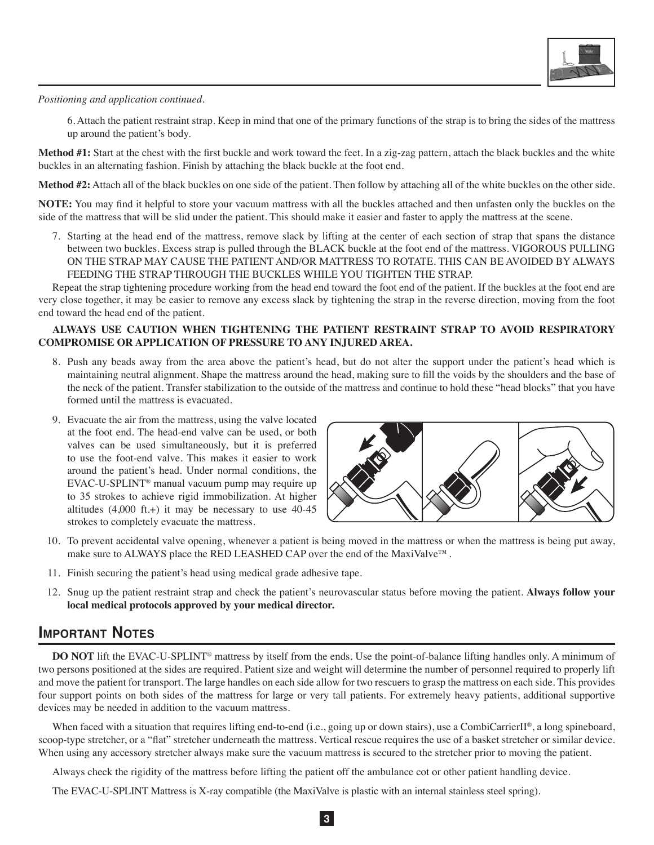

*Positioning and application continued.*

 6. Attach the patient restraint strap. Keep in mind that one of the primary functions of the strap is to bring the sides of the mattress up around the patient's body.

**Method #1:** Start at the chest with the first buckle and work toward the feet. In a zig-zag pattern, attach the black buckles and the white buckles in an alternating fashion. Finish by attaching the black buckle at the foot end.

**Method #2:** Attach all of the black buckles on one side of the patient. Then follow by attaching all of the white buckles on the other side.

**NOTE:** You may find it helpful to store your vacuum mattress with all the buckles attached and then unfasten only the buckles on the side of the mattress that will be slid under the patient. This should make it easier and faster to apply the mattress at the scene.

7. Starting at the head end of the mattress, remove slack by lifting at the center of each section of strap that spans the distance between two buckles. Excess strap is pulled through the BLACK buckle at the foot end of the mattress. VIGOROUS PULLING ON THE STRAP MAY CAUSE THE PATIENT AND/OR MATTRESS TO ROTATE. THIS CAN BE AVOIDED BY ALWAYS FEEDING THE STRAP THROUGH THE BUCKLES WHILE YOU TIGHTEN THE STRAP.

Repeat the strap tightening procedure working from the head end toward the foot end of the patient. If the buckles at the foot end are very close together, it may be easier to remove any excess slack by tightening the strap in the reverse direction, moving from the foot end toward the head end of the patient.

### **ALWAYS USE CAUTION WHEN TIGHTENING THE PATIENT RESTRAINT STRAP TO AVOID RESPIRATORY COMPROMISE OR APPLICATION OF PRESSURE TO ANY INJURED AREA.**

- 8. Push any beads away from the area above the patient's head, but do not alter the support under the patient's head which is maintaining neutral alignment. Shape the mattress around the head, making sure to fill the voids by the shoulders and the base of the neck of the patient. Transfer stabilization to the outside of the mattress and continue to hold these "head blocks" that you have formed until the mattress is evacuated.
- 9. Evacuate the air from the mattress, using the valve located at the foot end. The head-end valve can be used, or both valves can be used simultaneously, but it is preferred to use the foot-end valve. This makes it easier to work around the patient's head. Under normal conditions, the EVAC-U-SPLINT® manual vacuum pump may require up to 35 strokes to achieve rigid immobilization. At higher altitudes  $(4,000 \text{ ft.})$  it may be necessary to use  $40-45$ strokes to completely evacuate the mattress.



- 10. To prevent accidental valve opening, whenever a patient is being moved in the mattress or when the mattress is being put away, make sure to ALWAYS place the RED LEASHED CAP over the end of the MaxiValve™.
- 11. Finish securing the patient's head using medical grade adhesive tape.
- 12. Snug up the patient restraint strap and check the patient's neurovascular status before moving the patient. **Always follow your local medical protocols approved by your medical director.**

### **Important Notes**

**DO NOT** lift the EVAC-U-SPLINT® mattress by itself from the ends. Use the point-of-balance lifting handles only. A minimum of two persons positioned at the sides are required. Patient size and weight will determine the number of personnel required to properly lift and move the patient for transport. The large handles on each side allow for two rescuers to grasp the mattress on each side. This provides four support points on both sides of the mattress for large or very tall patients. For extremely heavy patients, additional supportive devices may be needed in addition to the vacuum mattress.

When faced with a situation that requires lifting end-to-end (i.e., going up or down stairs), use a CombiCarrierII®, a long spineboard, scoop-type stretcher, or a "flat" stretcher underneath the mattress. Vertical rescue requires the use of a basket stretcher or similar device. When using any accessory stretcher always make sure the vacuum mattress is secured to the stretcher prior to moving the patient.

Always check the rigidity of the mattress before lifting the patient off the ambulance cot or other patient handling device.

The EVAC-U-SPLINT Mattress is X-ray compatible (the MaxiValve is plastic with an internal stainless steel spring).